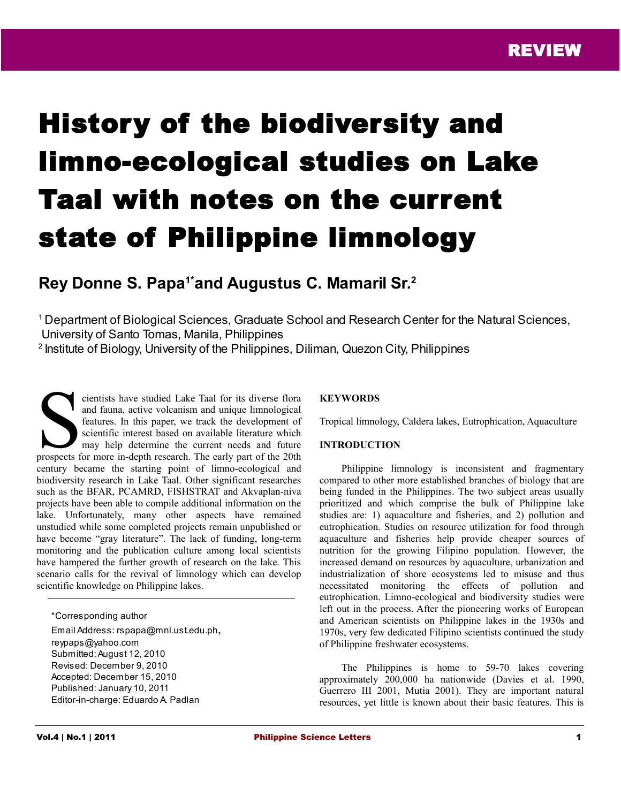# History of the biodiversity and limno-ecological studies on Lake Taal with notes on the current state of Philippine limnology

# **Rey Donne S. Papa1\*and Augustus C. Mamaril Sr.<sup>2</sup>**

<sup>1</sup> Department of Biological Sciences, Graduate School and Research Center for the Natural Sciences, University of Santo Tomas, Manila, Philippines

<sup>2</sup> Institute of Biology, University of the Philippines, Diliman, Quezon City, Philippines

cientists have studied Lake Taal for its diverse flora and fauna, active volcanism and unique limnological features. In this paper, we track the development of scientific interest based on available literature which may help determine the current needs and future cientists have studied Lake Taal for its diverse flora<br>and fauna, active volcanism and unique limnological<br>features. In this paper, we track the development of<br>scientific interest based on available literature which<br>may he century became the starting point of limno-ecological and biodiversity research in Lake Taal. Other significant researches such as the BFAR, PCAMRD, FISHSTRAT and Akvaplan-niva projects have been able to compile additional information on the lake. Unfortunately, many other aspects have remained unstudied while some completed projects remain unpublished or have become "gray literature". The lack of funding, long-term monitoring and the publication culture among local scientists have hampered the further growth of research on the lake. This scenario calls for the revival of limnology which can develop scientific knowledge on Philippine lakes.

\*Corresponding author Email Address: rspapa@mnl.ust.edu.ph, reypaps@yahoo.com Submitted: August 12, 2010 Revised: December 9, 2010 Accepted: December 15, 2010 Published: January 10, 2011 Editor-in-charge: Eduardo A. Padlan

# **KEYWORDS**

Tropical limnology, Caldera lakes, Eutrophication, Aquaculture

# **INTRODUCTION**

Philippine limnology is inconsistent and fragmentary compared to other more established branches of biology that are being funded in the Philippines. The two subject areas usually prioritized and which comprise the bulk of Philippine lake studies are: 1) aquaculture and fisheries, and 2) pollution and eutrophication. Studies on resource utilization for food through aquaculture and fisheries help provide cheaper sources of nutrition for the growing Filipino population. However, the increased demand on resources by aquaculture, urbanization and industrialization of shore ecosystems led to misuse and thus necessitated monitoring the effects of pollution and eutrophication. Limno-ecological and biodiversity studies were left out in the process. After the pioneering works of European and American scientists on Philippine lakes in the 1930s and 1970s, very few dedicated Filipino scientists continued the study of Philippine freshwater ecosystems.

The Philippines is home to 59-70 lakes covering approximately 200,000 ha nationwide (Davies et al. 1990, Guerrero III 2001, Mutia 2001). They are important natural resources, yet little is known about their basic features. This is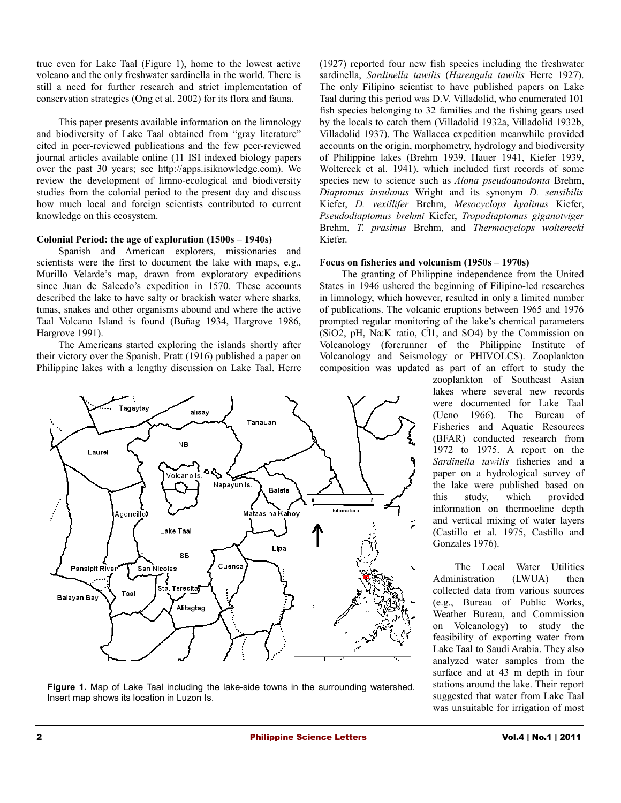true even for Lake Taal (Figure 1), home to the lowest active volcano and the only freshwater sardinella in the world. There is still a need for further research and strict implementation of conservation strategies (Ong et al. 2002) for its flora and fauna.

This paper presents available information on the limnology and biodiversity of Lake Taal obtained from "gray literature" cited in peer-reviewed publications and the few peer-reviewed journal articles available online (11 ISI indexed biology papers over the past 30 years; see http://apps.isiknowledge.com). We review the development of limno-ecological and biodiversity studies from the colonial period to the present day and discuss how much local and foreign scientists contributed to current knowledge on this ecosystem.

#### **Colonial Period: the age of exploration (1500s – 1940s)**

Spanish and American explorers, missionaries and scientists were the first to document the lake with maps, e.g., Murillo Velarde's map, drawn from exploratory expeditions since Juan de Salcedo's expedition in 1570. These accounts described the lake to have salty or brackish water where sharks, tunas, snakes and other organisms abound and where the active Taal Volcano Island is found (Buñag 1934, Hargrove 1986, Hargrove 1991).

The Americans started exploring the islands shortly after their victory over the Spanish. Pratt (1916) published a paper on Philippine lakes with a lengthy discussion on Lake Taal. Herre



**Figure 1.** Map of Lake Taal including the lake-side towns in the surrounding watershed. Insert map shows its location in Luzon Is.

(1927) reported four new fish species including the freshwater sardinella, *Sardinella tawilis* (*Harengula tawilis* Herre 1927). The only Filipino scientist to have published papers on Lake Taal during this period was D.V. Villadolid, who enumerated 101 fish species belonging to 32 families and the fishing gears used by the locals to catch them (Villadolid 1932a, Villadolid 1932b, Villadolid 1937). The Wallacea expedition meanwhile provided accounts on the origin, morphometry, hydrology and biodiversity of Philippine lakes (Brehm 1939, Hauer 1941, Kiefer 1939, Woltereck et al. 1941), which included first records of some species new to science such as *Alona pseudoanodonta* Brehm, *Diaptomus insulanus* Wright and its synonym *D. sensibilis* Kiefer, *D. vexillifer* Brehm, *Mesocyclops hyalinus* Kiefer, *Pseudodiaptomus brehmi* Kiefer, *Tropodiaptomus giganotviger* Brehm, *T. prasinus* Brehm, and *Thermocyclops wolterecki* Kiefer.

#### **Focus on fisheries and volcanism (1950s – 1970s)**

The granting of Philippine independence from the United States in 1946 ushered the beginning of Filipino-led researches in limnology, which however, resulted in only a limited number of publications. The volcanic eruptions between 1965 and 1976 prompted regular monitoring of the lake's chemical parameters  $(SiO2, pH, Na:K ratio, C11, and SO4)$  by the Commission on Volcanology (forerunner of the Philippine Institute of Volcanology and Seismology or PHIVOLCS). Zooplankton composition was updated as part of an effort to study the

zooplankton of Southeast Asian lakes where several new records were documented for Lake Taal (Ueno 1966). The Bureau of Fisheries and Aquatic Resources (BFAR) conducted research from 1972 to 1975. A report on the *Sardinella tawilis* fisheries and a paper on a hydrological survey of the lake were published based on this study, which provided information on thermocline depth and vertical mixing of water layers (Castillo et al. 1975, Castillo and Gonzales 1976).

The Local Water Utilities Administration (LWUA) then collected data from various sources (e.g., Bureau of Public Works, Weather Bureau, and Commission on Volcanology) to study the feasibility of exporting water from Lake Taal to Saudi Arabia. They also analyzed water samples from the surface and at 43 m depth in four stations around the lake. Their report suggested that water from Lake Taal was unsuitable for irrigation of most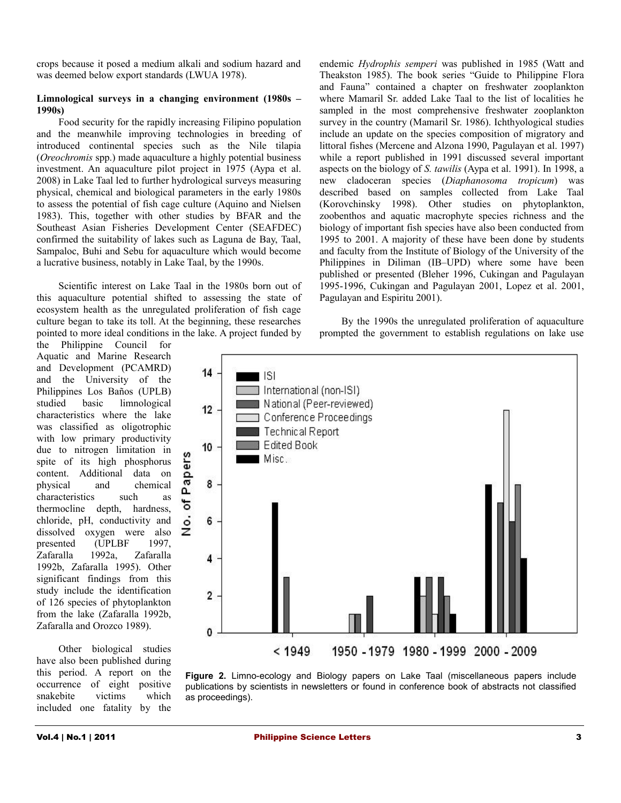crops because it posed a medium alkali and sodium hazard and was deemed below export standards (LWUA 1978).

#### **Limnological surveys in a changing environment (1980s – 1990s)**

Food security for the rapidly increasing Filipino population and the meanwhile improving technologies in breeding of introduced continental species such as the Nile tilapia (*Oreochromis* spp.) made aquaculture a highly potential business investment. An aquaculture pilot project in 1975 (Aypa et al. 2008) in Lake Taal led to further hydrological surveys measuring physical, chemical and biological parameters in the early 1980s to assess the potential of fish cage culture (Aquino and Nielsen 1983). This, together with other studies by BFAR and the Southeast Asian Fisheries Development Center (SEAFDEC) confirmed the suitability of lakes such as Laguna de Bay, Taal, Sampaloc, Buhi and Sebu for aquaculture which would become a lucrative business, notably in Lake Taal, by the 1990s.

Scientific interest on Lake Taal in the 1980s born out of this aquaculture potential shifted to assessing the state of ecosystem health as the unregulated proliferation of fish cage culture began to take its toll. At the beginning, these researches pointed to more ideal conditions in the lake. A project funded by endemic *Hydrophis semperi* was published in 1985 (Watt and Theakston 1985). The book series "Guide to Philippine Flora and Fauna" contained a chapter on freshwater zooplankton where Mamaril Sr. added Lake Taal to the list of localities he sampled in the most comprehensive freshwater zooplankton survey in the country (Mamaril Sr. 1986). Ichthyological studies include an update on the species composition of migratory and littoral fishes (Mercene and Alzona 1990, Pagulayan et al. 1997) while a report published in 1991 discussed several important aspects on the biology of *S. tawilis* (Aypa et al. 1991). In 1998, a new cladoceran species (*Diaphanosoma tropicum*) was described based on samples collected from Lake Taal (Korovchinsky 1998). Other studies on phytoplankton, zoobenthos and aquatic macrophyte species richness and the biology of important fish species have also been conducted from 1995 to 2001. A majority of these have been done by students and faculty from the Institute of Biology of the University of the Philippines in Diliman (IB–UPD) where some have been published or presented (Bleher 1996, Cukingan and Pagulayan 1995-1996, Cukingan and Pagulayan 2001, Lopez et al. 2001, Pagulayan and Espiritu 2001).

By the 1990s the unregulated proliferation of aquaculture prompted the government to establish regulations on lake use

the Philippine Council for Aquatic and Marine Research and Development (PCAMRD) and the University of the Philippines Los Baños (UPLB) studied basic limnological characteristics where the lake was classified as oligotrophic with low primary productivity due to nitrogen limitation in spite of its high phosphorus content. Additional data on physical and chemical characteristics such as thermocline depth, hardness, chloride, pH, conductivity and dissolved oxygen were also presented (UPLBF 1997, Zafaralla 1992a, Zafaralla 1992b, Zafaralla 1995). Other significant findings from this study include the identification of 126 species of phytoplankton from the lake (Zafaralla 1992b, Zafaralla and Orozco 1989).

Other biological studies have also been published during this period. A report on the occurrence of eight positive snakebite victims which included one fatality by the



**Figure 2.** Limno-ecology and Biology papers on Lake Taal (miscellaneous papers include publications by scientists in newsletters or found in conference book of abstracts not classified as proceedings).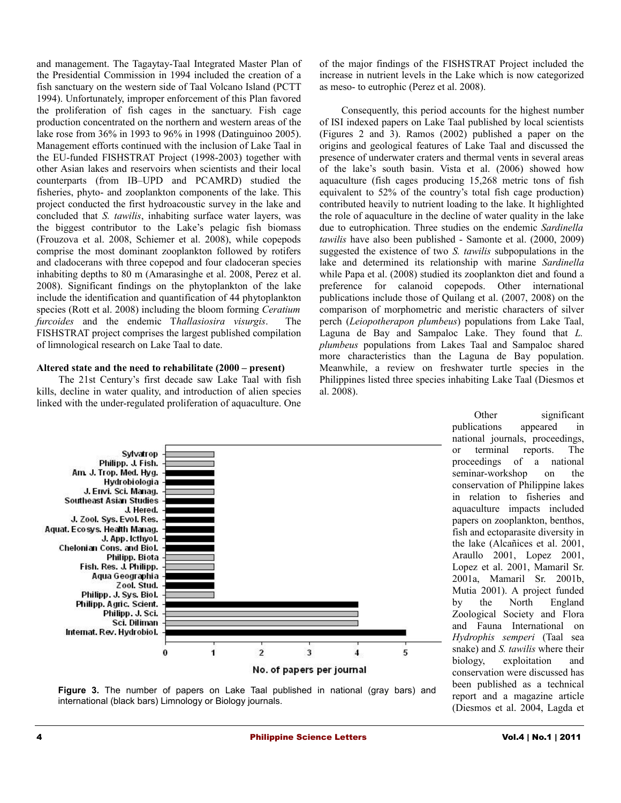and management. The Tagaytay-Taal Integrated Master Plan of the Presidential Commission in 1994 included the creation of a fish sanctuary on the western side of Taal Volcano Island (PCTT 1994). Unfortunately, improper enforcement of this Plan favored the proliferation of fish cages in the sanctuary. Fish cage production concentrated on the northern and western areas of the lake rose from 36% in 1993 to 96% in 1998 (Datinguinoo 2005). Management efforts continued with the inclusion of Lake Taal in the EU-funded FISHSTRAT Project (1998-2003) together with other Asian lakes and reservoirs when scientists and their local counterparts (from IB–UPD and PCAMRD) studied the fisheries, phyto- and zooplankton components of the lake. This project conducted the first hydroacoustic survey in the lake and concluded that *S. tawilis*, inhabiting surface water layers, was the biggest contributor to the Lake's pelagic fish biomass (Frouzova et al. 2008, Schiemer et al. 2008), while copepods comprise the most dominant zooplankton followed by rotifers and cladocerans with three copepod and four cladoceran species inhabiting depths to 80 m (Amarasinghe et al. 2008, Perez et al. 2008). Significant findings on the phytoplankton of the lake include the identification and quantification of 44 phytoplankton species (Rott et al. 2008) including the bloom forming *Ceratium furcoides* and the endemic T*hallasiosira visurgis*. The FISHSTRAT project comprises the largest published compilation of limnological research on Lake Taal to date.

# **Altered state and the need to rehabilitate (2000 – present)**

The 21st Century's first decade saw Lake Taal with fish kills, decline in water quality, and introduction of alien species linked with the under-regulated proliferation of aquaculture. One

of the major findings of the FISHSTRAT Project included the increase in nutrient levels in the Lake which is now categorized as meso- to eutrophic (Perez et al. 2008).

Consequently, this period accounts for the highest number of ISI indexed papers on Lake Taal published by local scientists (Figures 2 and 3). Ramos (2002) published a paper on the origins and geological features of Lake Taal and discussed the presence of underwater craters and thermal vents in several areas of the lake's south basin. Vista et al. (2006) showed how aquaculture (fish cages producing 15,268 metric tons of fish equivalent to 52% of the country's total fish cage production) contributed heavily to nutrient loading to the lake. It highlighted the role of aquaculture in the decline of water quality in the lake due to eutrophication. Three studies on the endemic *Sardinella tawilis* have also been published - Samonte et al. (2000, 2009) suggested the existence of two *S. tawilis* subpopulations in the lake and determined its relationship with marine *Sardinella* while Papa et al. (2008) studied its zooplankton diet and found a preference for calanoid copepods. Other international publications include those of Quilang et al. (2007, 2008) on the comparison of morphometric and meristic characters of silver perch (*Leiopotherapon plumbeus*) populations from Lake Taal, Laguna de Bay and Sampaloc Lake. They found that *L. plumbeus* populations from Lakes Taal and Sampaloc shared more characteristics than the Laguna de Bay population. Meanwhile, a review on freshwater turtle species in the Philippines listed three species inhabiting Lake Taal (Diesmos et al. 2008).



Other significant publications appeared in national journals, proceedings, or terminal reports. The proceedings of a national seminar-workshop on the conservation of Philippine lakes in relation to fisheries and aquaculture impacts included papers on zooplankton, benthos, fish and ectoparasite diversity in the lake (Alcañices et al. 2001, Araullo 2001, Lopez 2001, Lopez et al. 2001, Mamaril Sr. 2001a, Mamaril Sr. 2001b, Mutia 2001). A project funded by the North England Zoological Society and Flora and Fauna International on *Hydrophis semperi* (Taal sea snake) and *S. tawilis* where their biology, exploitation and conservation were discussed has been published as a technical report and a magazine article (Diesmos et al. 2004, Lagda et

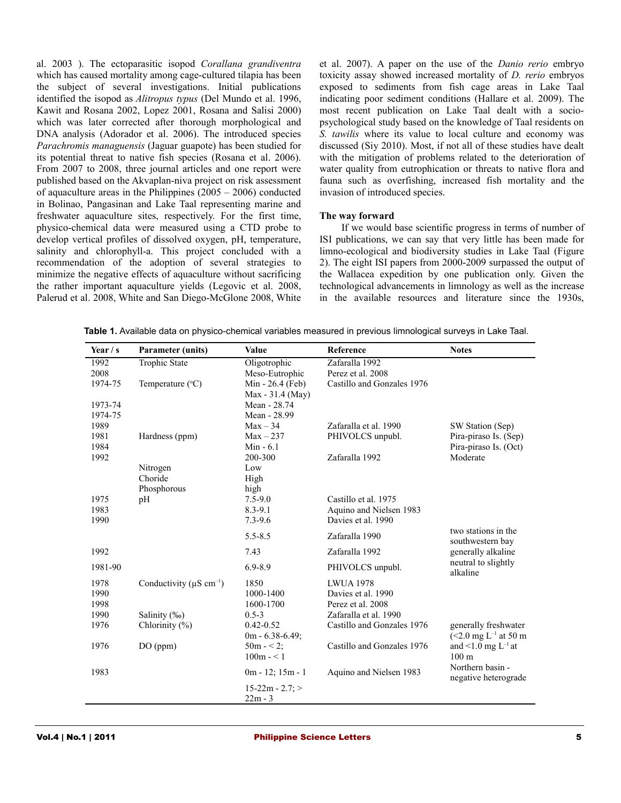al. 2003 ). The ectoparasitic isopod *Corallana grandiventra* which has caused mortality among cage-cultured tilapia has been the subject of several investigations. Initial publications identified the isopod as *Alitropus typus* (Del Mundo et al. 1996, Kawit and Rosana 2002, Lopez 2001, Rosana and Salisi 2000) which was later corrected after thorough morphological and DNA analysis (Adorador et al. 2006). The introduced species *Parachromis managuensis* (Jaguar guapote) has been studied for its potential threat to native fish species (Rosana et al. 2006). From 2007 to 2008, three journal articles and one report were published based on the Akvaplan-niva project on risk assessment of aquaculture areas in the Philippines (2005 – 2006) conducted in Bolinao, Pangasinan and Lake Taal representing marine and freshwater aquaculture sites, respectively. For the first time, physico-chemical data were measured using a CTD probe to develop vertical profiles of dissolved oxygen, pH, temperature, salinity and chlorophyll-a. This project concluded with a recommendation of the adoption of several strategies to minimize the negative effects of aquaculture without sacrificing the rather important aquaculture yields (Legovic et al. 2008, Palerud et al. 2008, White and San Diego-McGlone 2008, White

et al. 2007). A paper on the use of the *Danio rerio* embryo toxicity assay showed increased mortality of *D. rerio* embryos exposed to sediments from fish cage areas in Lake Taal indicating poor sediment conditions (Hallare et al. 2009). The most recent publication on Lake Taal dealt with a sociopsychological study based on the knowledge of Taal residents on *S. tawilis* where its value to local culture and economy was discussed (Siy 2010). Most, if not all of these studies have dealt with the mitigation of problems related to the deterioration of water quality from eutrophication or threats to native flora and fauna such as overfishing, increased fish mortality and the invasion of introduced species.

#### **The way forward**

If we would base scientific progress in terms of number of ISI publications, we can say that very little has been made for limno-ecological and biodiversity studies in Lake Taal (Figure 2). The eight ISI papers from 2000-2009 surpassed the output of the Wallacea expedition by one publication only. Given the technological advancements in limnology as well as the increase in the available resources and literature since the 1930s,

| Year $/s$ | <b>Parameter (units)</b>                  | Value                           | Reference                  | <b>Notes</b>                             |
|-----------|-------------------------------------------|---------------------------------|----------------------------|------------------------------------------|
| 1992      | Trophic State                             | Oligotrophic                    | Zafaralla 1992             |                                          |
| 2008      |                                           | Meso-Eutrophic                  | Perez et al. 2008          |                                          |
| 1974-75   | Temperature $(^{\circ}C)$                 | Min - 26.4 (Feb)                | Castillo and Gonzales 1976 |                                          |
|           |                                           | Max - 31.4 (May)                |                            |                                          |
| 1973-74   |                                           | Mean - 28.74                    |                            |                                          |
| 1974-75   |                                           | Mean - 28.99                    |                            |                                          |
| 1989      |                                           | $Max - 34$                      | Zafaralla et al. 1990      | SW Station (Sep)                         |
| 1981      | Hardness (ppm)                            | $Max-237$                       | PHIVOLCS unpubl.           | Pira-piraso Is. (Sep)                    |
| 1984      |                                           | Min $-6.1$                      |                            | Pira-piraso Is. (Oct)                    |
| 1992      |                                           | 200-300                         | Zafaralla 1992             | Moderate                                 |
|           | Nitrogen                                  | Low                             |                            |                                          |
|           | Choride                                   | High                            |                            |                                          |
|           | Phosphorous                               | high                            |                            |                                          |
| 1975      | pH                                        | $7.5 - 9.0$                     | Castillo et al. 1975       |                                          |
| 1983      |                                           | $8.3 - 9.1$                     | Aquino and Nielsen 1983    |                                          |
| 1990      |                                           | $7.3 - 9.6$                     | Davies et al. 1990         |                                          |
|           |                                           | $5.5 - 8.5$                     | Zafaralla 1990             | two stations in the<br>southwestern bay  |
| 1992      |                                           | 7.43                            | Zafaralla 1992             | generally alkaline                       |
| 1981-90   |                                           | $6.9 - 8.9$                     | PHIVOLCS unpubl.           | neutral to slightly<br>alkaline          |
| 1978      | Conductivity ( $\mu$ S cm <sup>-1</sup> ) | 1850                            | <b>LWUA 1978</b>           |                                          |
| 1990      |                                           | 1000-1400                       | Davies et al. 1990         |                                          |
| 1998      |                                           | 1600-1700                       | Perez et al. 2008          |                                          |
| 1990      | Salinity (‰)                              | $0.5 - 3$                       | Zafaralla et al. 1990      |                                          |
| 1976      | Chlorinity $(\%)$                         | $0.42 - 0.52$                   | Castillo and Gonzales 1976 | generally freshwater                     |
|           |                                           | $0m - 6.38 - 6.49;$             |                            | $(<2.0$ mg L <sup>-1</sup> at 50 m       |
| 1976      | DO (ppm)                                  | $50m - 2$ ;                     | Castillo and Gonzales 1976 | and <1.0 mg $L^{-1}$ at                  |
|           |                                           | $100m - 1$                      |                            | 100 <sub>m</sub>                         |
| 1983      |                                           | $0m - 12$ ; $15m - 1$           | Aquino and Nielsen 1983    | Northern basin -<br>negative heterograde |
|           |                                           | $15-22m - 2.7$ ; ><br>$22m - 3$ |                            |                                          |

**Table 1.** Available data on physico-chemical variables measured in previous limnological surveys in Lake Taal.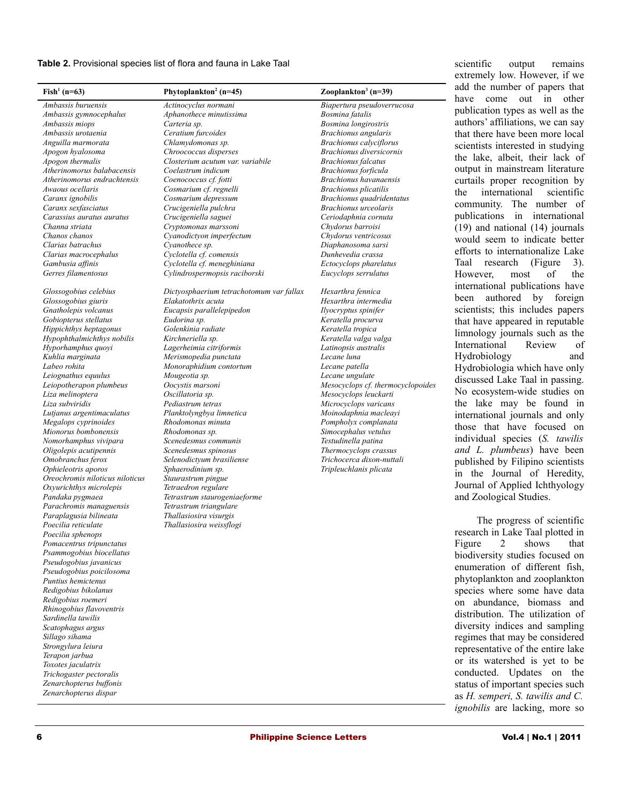**Table 2.** Provisional species list of flora and fauna in Lake Taal

| Phytoplankton <sup>2</sup> (n=45) | Zooplankton <sup>3</sup> (n=39)                                                                                                                                                                                                                                                                                                                                                                                                                                                                                                                                                                                                                                                                                                                                                                                                                                                                                                                                                                                                                                                                                            |
|-----------------------------------|----------------------------------------------------------------------------------------------------------------------------------------------------------------------------------------------------------------------------------------------------------------------------------------------------------------------------------------------------------------------------------------------------------------------------------------------------------------------------------------------------------------------------------------------------------------------------------------------------------------------------------------------------------------------------------------------------------------------------------------------------------------------------------------------------------------------------------------------------------------------------------------------------------------------------------------------------------------------------------------------------------------------------------------------------------------------------------------------------------------------------|
| Actinocyclus normani              | Biapertura pseudoverrucosa                                                                                                                                                                                                                                                                                                                                                                                                                                                                                                                                                                                                                                                                                                                                                                                                                                                                                                                                                                                                                                                                                                 |
|                                   | Bosmina fatalis                                                                                                                                                                                                                                                                                                                                                                                                                                                                                                                                                                                                                                                                                                                                                                                                                                                                                                                                                                                                                                                                                                            |
|                                   | Bosmina longirostris                                                                                                                                                                                                                                                                                                                                                                                                                                                                                                                                                                                                                                                                                                                                                                                                                                                                                                                                                                                                                                                                                                       |
|                                   | Brachionus angularis                                                                                                                                                                                                                                                                                                                                                                                                                                                                                                                                                                                                                                                                                                                                                                                                                                                                                                                                                                                                                                                                                                       |
|                                   | <b>Brachionus</b> calyciflorus                                                                                                                                                                                                                                                                                                                                                                                                                                                                                                                                                                                                                                                                                                                                                                                                                                                                                                                                                                                                                                                                                             |
|                                   | Brachionus diversicornis                                                                                                                                                                                                                                                                                                                                                                                                                                                                                                                                                                                                                                                                                                                                                                                                                                                                                                                                                                                                                                                                                                   |
|                                   | <b>Brachionus</b> falcatus                                                                                                                                                                                                                                                                                                                                                                                                                                                                                                                                                                                                                                                                                                                                                                                                                                                                                                                                                                                                                                                                                                 |
|                                   | Brachionus forficula                                                                                                                                                                                                                                                                                                                                                                                                                                                                                                                                                                                                                                                                                                                                                                                                                                                                                                                                                                                                                                                                                                       |
|                                   | Brachionus havanaensis                                                                                                                                                                                                                                                                                                                                                                                                                                                                                                                                                                                                                                                                                                                                                                                                                                                                                                                                                                                                                                                                                                     |
|                                   | <b>Brachionus</b> plicatilis                                                                                                                                                                                                                                                                                                                                                                                                                                                                                                                                                                                                                                                                                                                                                                                                                                                                                                                                                                                                                                                                                               |
|                                   | Brachionus quadridentatus                                                                                                                                                                                                                                                                                                                                                                                                                                                                                                                                                                                                                                                                                                                                                                                                                                                                                                                                                                                                                                                                                                  |
|                                   | Brachionus urceolaris                                                                                                                                                                                                                                                                                                                                                                                                                                                                                                                                                                                                                                                                                                                                                                                                                                                                                                                                                                                                                                                                                                      |
|                                   | Ceriodaphnia cornuta                                                                                                                                                                                                                                                                                                                                                                                                                                                                                                                                                                                                                                                                                                                                                                                                                                                                                                                                                                                                                                                                                                       |
|                                   | Chydorus barroisi                                                                                                                                                                                                                                                                                                                                                                                                                                                                                                                                                                                                                                                                                                                                                                                                                                                                                                                                                                                                                                                                                                          |
|                                   | Chydorus ventricosus                                                                                                                                                                                                                                                                                                                                                                                                                                                                                                                                                                                                                                                                                                                                                                                                                                                                                                                                                                                                                                                                                                       |
|                                   | Diaphanosoma sarsi                                                                                                                                                                                                                                                                                                                                                                                                                                                                                                                                                                                                                                                                                                                                                                                                                                                                                                                                                                                                                                                                                                         |
|                                   | Dunhevedia crassa                                                                                                                                                                                                                                                                                                                                                                                                                                                                                                                                                                                                                                                                                                                                                                                                                                                                                                                                                                                                                                                                                                          |
|                                   | Ectocyclops pharelatus                                                                                                                                                                                                                                                                                                                                                                                                                                                                                                                                                                                                                                                                                                                                                                                                                                                                                                                                                                                                                                                                                                     |
|                                   | Eucyclops serrulatus                                                                                                                                                                                                                                                                                                                                                                                                                                                                                                                                                                                                                                                                                                                                                                                                                                                                                                                                                                                                                                                                                                       |
|                                   | Hexarthra fennica                                                                                                                                                                                                                                                                                                                                                                                                                                                                                                                                                                                                                                                                                                                                                                                                                                                                                                                                                                                                                                                                                                          |
|                                   | Hexarthra intermedia                                                                                                                                                                                                                                                                                                                                                                                                                                                                                                                                                                                                                                                                                                                                                                                                                                                                                                                                                                                                                                                                                                       |
|                                   | Ilyocryptus spinifer                                                                                                                                                                                                                                                                                                                                                                                                                                                                                                                                                                                                                                                                                                                                                                                                                                                                                                                                                                                                                                                                                                       |
|                                   | Keratella procurva                                                                                                                                                                                                                                                                                                                                                                                                                                                                                                                                                                                                                                                                                                                                                                                                                                                                                                                                                                                                                                                                                                         |
|                                   | Keratella tropica                                                                                                                                                                                                                                                                                                                                                                                                                                                                                                                                                                                                                                                                                                                                                                                                                                                                                                                                                                                                                                                                                                          |
|                                   | Keratella valga valga                                                                                                                                                                                                                                                                                                                                                                                                                                                                                                                                                                                                                                                                                                                                                                                                                                                                                                                                                                                                                                                                                                      |
|                                   | Latinopsis australis                                                                                                                                                                                                                                                                                                                                                                                                                                                                                                                                                                                                                                                                                                                                                                                                                                                                                                                                                                                                                                                                                                       |
|                                   | Lecane luna                                                                                                                                                                                                                                                                                                                                                                                                                                                                                                                                                                                                                                                                                                                                                                                                                                                                                                                                                                                                                                                                                                                |
|                                   | Lecane patella                                                                                                                                                                                                                                                                                                                                                                                                                                                                                                                                                                                                                                                                                                                                                                                                                                                                                                                                                                                                                                                                                                             |
|                                   | Lecane ungulate                                                                                                                                                                                                                                                                                                                                                                                                                                                                                                                                                                                                                                                                                                                                                                                                                                                                                                                                                                                                                                                                                                            |
|                                   | Mesocyclops cf. thermocyclopoides                                                                                                                                                                                                                                                                                                                                                                                                                                                                                                                                                                                                                                                                                                                                                                                                                                                                                                                                                                                                                                                                                          |
|                                   | Mesocyclops leuckarti                                                                                                                                                                                                                                                                                                                                                                                                                                                                                                                                                                                                                                                                                                                                                                                                                                                                                                                                                                                                                                                                                                      |
|                                   | Microcyclops varicans                                                                                                                                                                                                                                                                                                                                                                                                                                                                                                                                                                                                                                                                                                                                                                                                                                                                                                                                                                                                                                                                                                      |
|                                   | Moinodaphnia macleayi                                                                                                                                                                                                                                                                                                                                                                                                                                                                                                                                                                                                                                                                                                                                                                                                                                                                                                                                                                                                                                                                                                      |
|                                   |                                                                                                                                                                                                                                                                                                                                                                                                                                                                                                                                                                                                                                                                                                                                                                                                                                                                                                                                                                                                                                                                                                                            |
|                                   | Pompholyx complanata                                                                                                                                                                                                                                                                                                                                                                                                                                                                                                                                                                                                                                                                                                                                                                                                                                                                                                                                                                                                                                                                                                       |
|                                   | Simocephalus vetulus                                                                                                                                                                                                                                                                                                                                                                                                                                                                                                                                                                                                                                                                                                                                                                                                                                                                                                                                                                                                                                                                                                       |
|                                   | Testudinella patina                                                                                                                                                                                                                                                                                                                                                                                                                                                                                                                                                                                                                                                                                                                                                                                                                                                                                                                                                                                                                                                                                                        |
|                                   | Thermocyclops crassus                                                                                                                                                                                                                                                                                                                                                                                                                                                                                                                                                                                                                                                                                                                                                                                                                                                                                                                                                                                                                                                                                                      |
|                                   | Trichocerca dixon-nuttali                                                                                                                                                                                                                                                                                                                                                                                                                                                                                                                                                                                                                                                                                                                                                                                                                                                                                                                                                                                                                                                                                                  |
|                                   | Tripleuchlanis plicata                                                                                                                                                                                                                                                                                                                                                                                                                                                                                                                                                                                                                                                                                                                                                                                                                                                                                                                                                                                                                                                                                                     |
|                                   |                                                                                                                                                                                                                                                                                                                                                                                                                                                                                                                                                                                                                                                                                                                                                                                                                                                                                                                                                                                                                                                                                                                            |
|                                   |                                                                                                                                                                                                                                                                                                                                                                                                                                                                                                                                                                                                                                                                                                                                                                                                                                                                                                                                                                                                                                                                                                                            |
|                                   |                                                                                                                                                                                                                                                                                                                                                                                                                                                                                                                                                                                                                                                                                                                                                                                                                                                                                                                                                                                                                                                                                                                            |
|                                   |                                                                                                                                                                                                                                                                                                                                                                                                                                                                                                                                                                                                                                                                                                                                                                                                                                                                                                                                                                                                                                                                                                                            |
|                                   |                                                                                                                                                                                                                                                                                                                                                                                                                                                                                                                                                                                                                                                                                                                                                                                                                                                                                                                                                                                                                                                                                                                            |
|                                   |                                                                                                                                                                                                                                                                                                                                                                                                                                                                                                                                                                                                                                                                                                                                                                                                                                                                                                                                                                                                                                                                                                                            |
|                                   |                                                                                                                                                                                                                                                                                                                                                                                                                                                                                                                                                                                                                                                                                                                                                                                                                                                                                                                                                                                                                                                                                                                            |
|                                   |                                                                                                                                                                                                                                                                                                                                                                                                                                                                                                                                                                                                                                                                                                                                                                                                                                                                                                                                                                                                                                                                                                                            |
|                                   |                                                                                                                                                                                                                                                                                                                                                                                                                                                                                                                                                                                                                                                                                                                                                                                                                                                                                                                                                                                                                                                                                                                            |
|                                   |                                                                                                                                                                                                                                                                                                                                                                                                                                                                                                                                                                                                                                                                                                                                                                                                                                                                                                                                                                                                                                                                                                                            |
|                                   |                                                                                                                                                                                                                                                                                                                                                                                                                                                                                                                                                                                                                                                                                                                                                                                                                                                                                                                                                                                                                                                                                                                            |
|                                   |                                                                                                                                                                                                                                                                                                                                                                                                                                                                                                                                                                                                                                                                                                                                                                                                                                                                                                                                                                                                                                                                                                                            |
|                                   |                                                                                                                                                                                                                                                                                                                                                                                                                                                                                                                                                                                                                                                                                                                                                                                                                                                                                                                                                                                                                                                                                                                            |
|                                   |                                                                                                                                                                                                                                                                                                                                                                                                                                                                                                                                                                                                                                                                                                                                                                                                                                                                                                                                                                                                                                                                                                                            |
|                                   |                                                                                                                                                                                                                                                                                                                                                                                                                                                                                                                                                                                                                                                                                                                                                                                                                                                                                                                                                                                                                                                                                                                            |
|                                   |                                                                                                                                                                                                                                                                                                                                                                                                                                                                                                                                                                                                                                                                                                                                                                                                                                                                                                                                                                                                                                                                                                                            |
|                                   |                                                                                                                                                                                                                                                                                                                                                                                                                                                                                                                                                                                                                                                                                                                                                                                                                                                                                                                                                                                                                                                                                                                            |
|                                   |                                                                                                                                                                                                                                                                                                                                                                                                                                                                                                                                                                                                                                                                                                                                                                                                                                                                                                                                                                                                                                                                                                                            |
|                                   |                                                                                                                                                                                                                                                                                                                                                                                                                                                                                                                                                                                                                                                                                                                                                                                                                                                                                                                                                                                                                                                                                                                            |
|                                   |                                                                                                                                                                                                                                                                                                                                                                                                                                                                                                                                                                                                                                                                                                                                                                                                                                                                                                                                                                                                                                                                                                                            |
|                                   |                                                                                                                                                                                                                                                                                                                                                                                                                                                                                                                                                                                                                                                                                                                                                                                                                                                                                                                                                                                                                                                                                                                            |
|                                   |                                                                                                                                                                                                                                                                                                                                                                                                                                                                                                                                                                                                                                                                                                                                                                                                                                                                                                                                                                                                                                                                                                                            |
|                                   |                                                                                                                                                                                                                                                                                                                                                                                                                                                                                                                                                                                                                                                                                                                                                                                                                                                                                                                                                                                                                                                                                                                            |
|                                   | Aphanothece minutissima<br>Carteria sp.<br>Ceratium furcoides<br>Chlamydomonas sp.<br>Chroococcus disperses<br>Closterium acutum var. variabile<br>Coelastrum indicum<br>Coenococcus cf. fotti<br>Cosmarium cf. regnelli<br>Cosmarium depressum<br>Crucigeniella pulchra<br>Crucigeniella saguei<br>Cryptomonas marssoni<br>Cyanodictyon imperfectum<br>Cyanothece sp.<br>Cyclotella cf. comensis<br>Cyclotella cf. meneghiniana<br>Cylindrospermopsis raciborski<br>Dictyosphaerium tetrachotomum var fallax<br>Elakatothrix acuta<br>Eucapsis parallelepipedon<br>Eudorina sp.<br>Golenkinia radiate<br>Kirchneriella sp.<br>Lagerheimia citriformis<br>Merismopedia punctata<br>Monoraphidium contortum<br>Mougeotia sp.<br>Oocystis marsoni<br>Oscillatoria sp.<br>Pediastrum tetras<br>Planktolyngbya limnetica<br>Rhodomonas minuta<br>Rhodomonas sp.<br>Scenedesmus communis<br>Scenedesmus spinosus<br>Selenodictyum brasiliense<br>Sphaerodinium sp.<br>Staurastrum pingue<br>Tetraedron regulare<br>Tetrastrum staurogeniaeforme<br>Tetrastrum triangulare<br>Thallasiosira visurgis<br>Thallasiosira weissflogi |

scientific output remains extremely low. However, if we add the number of papers that have come out in other publication types as well as the authors' affiliations, we can say that there have been more local scientists interested in studying the lake, albeit, their lack of output in mainstream literature curtails proper recognition by the international scientific community. The number of publications in international (19) and national (14) journals would seem to indicate better efforts to internationalize Lake Taal research (Figure 3). However, most of the international publications have been authored by foreign scientists; this includes papers that have appeared in reputable limnology journals such as the International Review of Hydrobiology and Hydrobiologia which have only discussed Lake Taal in passing. No ecosystem-wide studies on the lake may be found in international journals and only those that have focused on individual species (*S. tawilis and L. plumbeus*) have been published by Filipino scientists in the Journal of Heredity, Journal of Applied Ichthyology and Zoological Studies.

The progress of scientific research in Lake Taal plotted in Figure 2 shows that biodiversity studies focused on enumeration of different fish, phytoplankton and zooplankton species where some have data on abundance, biomass and distribution. The utilization of diversity indices and sampling regimes that may be considered representative of the entire lake or its watershed is yet to be conducted. Updates on the status of important species such as *H. semperi, S. tawilis and C. ignobilis* are lacking, more so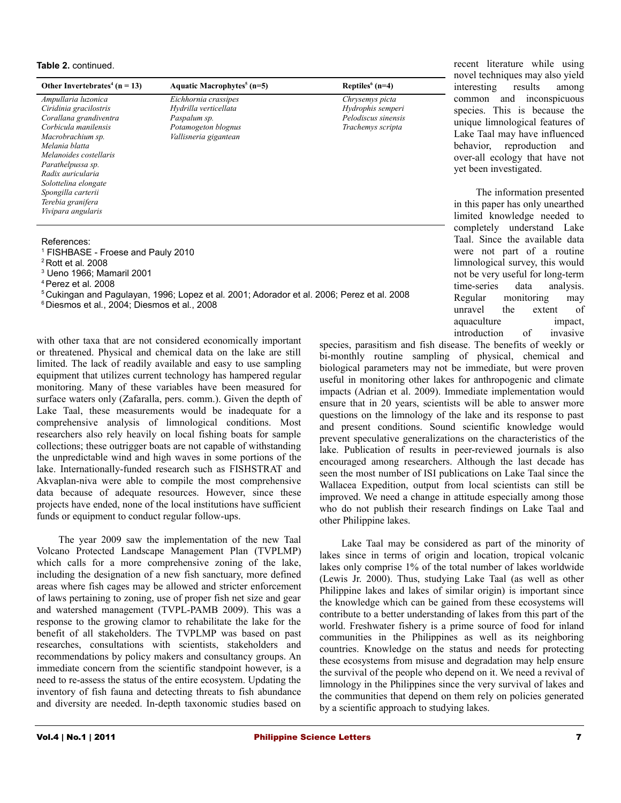#### **Table 2.** continued.

| Other Invertebrates <sup>4</sup> ( $n = 13$ ) | Aquatic Macrophytes <sup>5</sup> ( $n=5$ ) | Reptiles $6(n=4)$   |
|-----------------------------------------------|--------------------------------------------|---------------------|
| Ampullaria luzonica                           | Eichhornia crassipes                       | Chrysemys picta     |
| Ciridinia gracilostris                        | Hydrilla verticellata                      | Hydrophis semperi   |
| Corallana grandiventra                        | Paspalum sp.                               | Pelodiscus sinensis |
| Corbicula manilensis                          | Potamogeton blognus                        | Trachemys scripta   |
| Macrobrachium sp.                             | Vallisneria gigantean                      |                     |
| Melania blatta                                |                                            |                     |
| Melanoides costellaris                        |                                            |                     |
| Parathelpussa sp.                             |                                            |                     |
| Radix auricularia                             |                                            |                     |
| Solottelina elongate                          |                                            |                     |
| Spongilla carterii                            |                                            |                     |
| Terebia granifera                             |                                            |                     |
| Vivipara angularis                            |                                            |                     |
|                                               |                                            |                     |

#### References:

| <sup>1</sup> FISHBASE - Froese and Pauly 2010 |  |  |  |
|-----------------------------------------------|--|--|--|
|-----------------------------------------------|--|--|--|

<sup>2</sup>Rott et al*.* 2008

3 Ueno 1966; Mamaril 2001

<sup>4</sup>Perez et al*.* 2008

<sup>5</sup>Cukingan and Pagulayan, 1996; Lopez et al*.* 2001; Adorador et al. 2006; Perez et al. 2008

6 Diesmos et al*.*, 2004; Diesmos et al*.*, 2008

with other taxa that are not considered economically important or threatened. Physical and chemical data on the lake are still limited. The lack of readily available and easy to use sampling equipment that utilizes current technology has hampered regular monitoring. Many of these variables have been measured for surface waters only (Zafaralla, pers. comm.). Given the depth of Lake Taal, these measurements would be inadequate for a comprehensive analysis of limnological conditions. Most researchers also rely heavily on local fishing boats for sample collections; these outrigger boats are not capable of withstanding the unpredictable wind and high waves in some portions of the lake. Internationally-funded research such as FISHSTRAT and Akvaplan-niva were able to compile the most comprehensive data because of adequate resources. However, since these projects have ended, none of the local institutions have sufficient funds or equipment to conduct regular follow-ups.

The year 2009 saw the implementation of the new Taal Volcano Protected Landscape Management Plan (TVPLMP) which calls for a more comprehensive zoning of the lake, including the designation of a new fish sanctuary, more defined areas where fish cages may be allowed and stricter enforcement of laws pertaining to zoning, use of proper fish net size and gear and watershed management (TVPL-PAMB 2009). This was a response to the growing clamor to rehabilitate the lake for the benefit of all stakeholders. The TVPLMP was based on past researches, consultations with scientists, stakeholders and recommendations by policy makers and consultancy groups. An immediate concern from the scientific standpoint however, is a need to re-assess the status of the entire ecosystem. Updating the inventory of fish fauna and detecting threats to fish abundance and diversity are needed. In-depth taxonomic studies based on

recent literature while using novel techniques may also yield interesting results among common and inconspicuous species. This is because the unique limnological features of Lake Taal may have influenced behavior, reproduction and over-all ecology that have not yet been investigated.

The information presented in this paper has only unearthed limited knowledge needed to completely understand Lake Taal. Since the available data were not part of a routine limnological survey, this would not be very useful for long-term time-series data analysis. Regular monitoring may unravel the extent of aquaculture impact, introduction of invasive

species, parasitism and fish disease. The benefits of weekly or bi-monthly routine sampling of physical, chemical and biological parameters may not be immediate, but were proven useful in monitoring other lakes for anthropogenic and climate impacts (Adrian et al. 2009). Immediate implementation would ensure that in 20 years, scientists will be able to answer more questions on the limnology of the lake and its response to past and present conditions. Sound scientific knowledge would prevent speculative generalizations on the characteristics of the lake. Publication of results in peer-reviewed journals is also encouraged among researchers. Although the last decade has seen the most number of ISI publications on Lake Taal since the Wallacea Expedition, output from local scientists can still be improved. We need a change in attitude especially among those who do not publish their research findings on Lake Taal and other Philippine lakes.

Lake Taal may be considered as part of the minority of lakes since in terms of origin and location, tropical volcanic lakes only comprise 1% of the total number of lakes worldwide (Lewis Jr. 2000). Thus, studying Lake Taal (as well as other Philippine lakes and lakes of similar origin) is important since the knowledge which can be gained from these ecosystems will contribute to a better understanding of lakes from this part of the world. Freshwater fishery is a prime source of food for inland communities in the Philippines as well as its neighboring countries. Knowledge on the status and needs for protecting these ecosystems from misuse and degradation may help ensure the survival of the people who depend on it. We need a revival of limnology in the Philippines since the very survival of lakes and the communities that depend on them rely on policies generated by a scientific approach to studying lakes.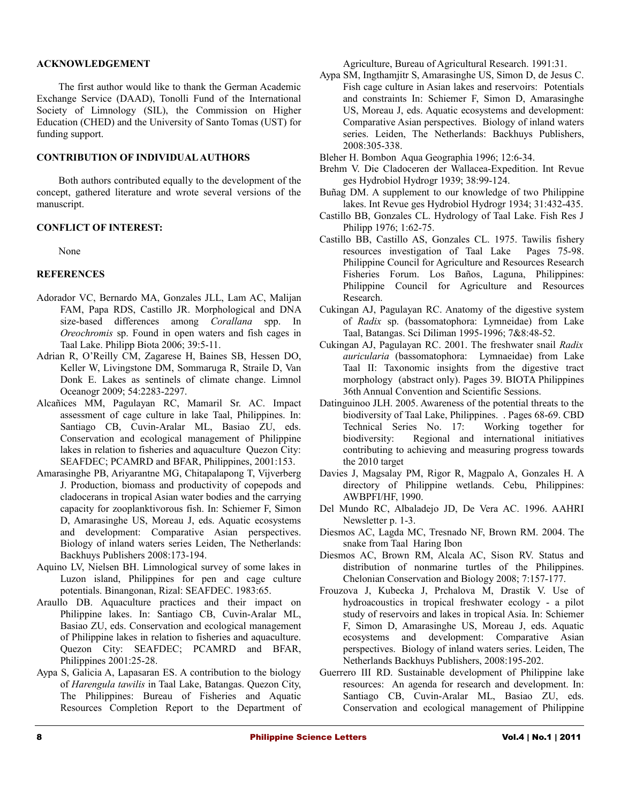#### **ACKNOWLEDGEMENT**

The first author would like to thank the German Academic Exchange Service (DAAD), Tonolli Fund of the International Society of Limnology (SIL), the Commission on Higher Education (CHED) and the University of Santo Tomas (UST) for funding support.

# **CONTRIBUTION OF INDIVIDUAL AUTHORS**

Both authors contributed equally to the development of the concept, gathered literature and wrote several versions of the manuscript.

#### **CONFLICT OF INTEREST:**

None

# **REFERENCES**

- Adorador VC, Bernardo MA, Gonzales JLL, Lam AC, Malijan FAM, Papa RDS, Castillo JR. Morphological and DNA size-based differences among *Corallana* spp. In *Oreochromis* sp. Found in open waters and fish cages in Taal Lake. Philipp Biota 2006; 39:5-11.
- Adrian R, O'Reilly CM, Zagarese H, Baines SB, Hessen DO, Keller W, Livingstone DM, Sommaruga R, Straile D, Van Donk E. Lakes as sentinels of climate change. Limnol Oceanogr 2009; 54:2283-2297.
- Alcañices MM, Pagulayan RC, Mamaril Sr. AC. Impact assessment of cage culture in lake Taal, Philippines. In: Santiago CB, Cuvin-Aralar ML, Basiao ZU, eds. Conservation and ecological management of Philippine lakes in relation to fisheries and aquaculture Quezon City: SEAFDEC; PCAMRD and BFAR, Philippines, 2001:153.
- Amarasinghe PB, Ariyarantne MG, Chitapalapong T, Vijverberg J. Production, biomass and productivity of copepods and cladocerans in tropical Asian water bodies and the carrying capacity for zooplanktivorous fish. In: Schiemer F, Simon D, Amarasinghe US, Moreau J, eds. Aquatic ecosystems and development: Comparative Asian perspectives. Biology of inland waters series Leiden, The Netherlands: Backhuys Publishers 2008:173-194.
- Aquino LV, Nielsen BH. Limnological survey of some lakes in Luzon island, Philippines for pen and cage culture potentials. Binangonan, Rizal: SEAFDEC. 1983:65.
- Araullo DB. Aquaculture practices and their impact on Philippine lakes. In: Santiago CB, Cuvin-Aralar ML, Basiao ZU, eds. Conservation and ecological management of Philippine lakes in relation to fisheries and aquaculture. Quezon City: SEAFDEC; PCAMRD and BFAR, Philippines 2001:25-28.
- Aypa S, Galicia A, Lapasaran ES. A contribution to the biology of *Harengula tawilis* in Taal Lake, Batangas. Quezon City, The Philippines: Bureau of Fisheries and Aquatic Resources Completion Report to the Department of

Agriculture, Bureau of Agricultural Research. 1991:31.

- Aypa SM, Ingthamjitr S, Amarasinghe US, Simon D, de Jesus C. Fish cage culture in Asian lakes and reservoirs: Potentials and constraints In: Schiemer F, Simon D, Amarasinghe US, Moreau J, eds. Aquatic ecosystems and development: Comparative Asian perspectives. Biology of inland waters series. Leiden, The Netherlands: Backhuys Publishers, 2008:305-338.
- Bleher H. Bombon Aqua Geographia 1996; 12:6-34.
- Brehm V. Die Cladoceren der Wallacea-Expedition. Int Revue ges Hydrobiol Hydrogr 1939; 38:99-124.
- Buñag DM. A supplement to our knowledge of two Philippine lakes. Int Revue ges Hydrobiol Hydrogr 1934; 31:432-435.
- Castillo BB, Gonzales CL. Hydrology of Taal Lake. Fish Res J Philipp 1976; 1:62-75.
- Castillo BB, Castillo AS, Gonzales CL. 1975. Tawilis fishery resources investigation of Taal Lake Pages 75-98. Philippine Council for Agriculture and Resources Research Fisheries Forum. Los Baños, Laguna, Philippines: Philippine Council for Agriculture and Resources Research.
- Cukingan AJ, Pagulayan RC. Anatomy of the digestive system of *Radix* sp. (bassomatophora: Lymneidae) from Lake Taal, Batangas. Sci Diliman 1995-1996; 7&8:48-52.
- Cukingan AJ, Pagulayan RC. 2001. The freshwater snail *Radix auricularia* (bassomatophora: Lymnaeidae) from Lake Taal II: Taxonomic insights from the digestive tract morphology (abstract only). Pages 39. BIOTA Philippines 36th Annual Convention and Scientific Sessions.
- Datinguinoo JLH. 2005. Awareness of the potential threats to the biodiversity of Taal Lake, Philippines. . Pages 68-69. CBD Technical Series No. 17: Working together for biodiversity: Regional and international initiatives contributing to achieving and measuring progress towards the 2010 target
- Davies J, Magsalay PM, Rigor R, Magpalo A, Gonzales H. A directory of Philippine wetlands. Cebu, Philippines: AWBPFI/HF, 1990.
- Del Mundo RC, Albaladejo JD, De Vera AC. 1996. AAHRI Newsletter p. 1-3.
- Diesmos AC, Lagda MC, Tresnado NF, Brown RM. 2004. The snake from Taal Haring Ibon
- Diesmos AC, Brown RM, Alcala AC, Sison RV. Status and distribution of nonmarine turtles of the Philippines. Chelonian Conservation and Biology 2008; 7:157-177.
- Frouzova J, Kubecka J, Prchalova M, Drastik V. Use of hydroacoustics in tropical freshwater ecology - a pilot study of reservoirs and lakes in tropical Asia. In: Schiemer F, Simon D, Amarasinghe US, Moreau J, eds. Aquatic ecosystems and development: Comparative Asian perspectives. Biology of inland waters series. Leiden, The Netherlands Backhuys Publishers, 2008:195-202.
- Guerrero III RD. Sustainable development of Philippine lake resources: An agenda for research and development. In: Santiago CB, Cuvin-Aralar ML, Basiao ZU, eds. Conservation and ecological management of Philippine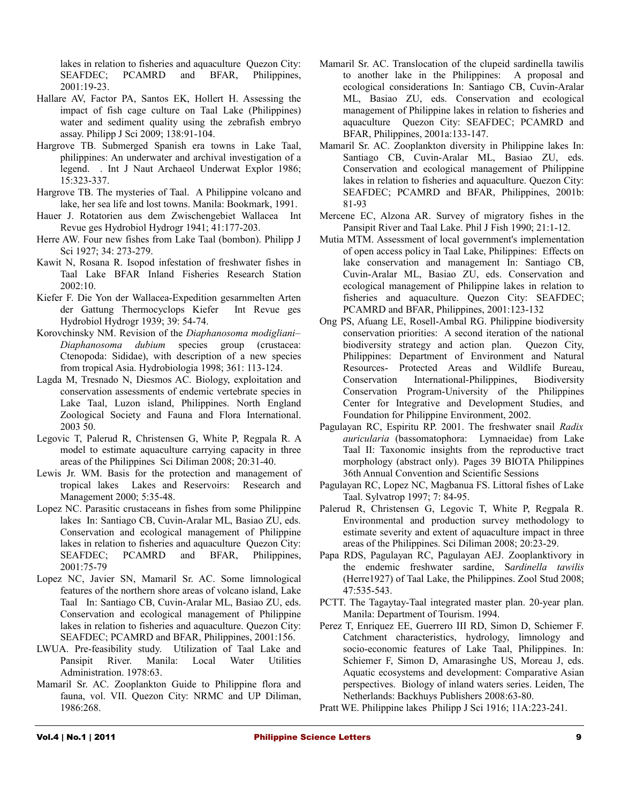lakes in relation to fisheries and aquaculture Quezon City: SEAFDEC; PCAMRD and BFAR, Philippines, 2001:19-23.

- Hallare AV, Factor PA, Santos EK, Hollert H. Assessing the impact of fish cage culture on Taal Lake (Philippines) water and sediment quality using the zebrafish embryo assay. Philipp J Sci 2009; 138:91-104.
- Hargrove TB. Submerged Spanish era towns in Lake Taal, philippines: An underwater and archival investigation of a legend. . Int J Naut Archaeol Underwat Explor 1986; 15:323-337.
- Hargrove TB. The mysteries of Taal. A Philippine volcano and lake, her sea life and lost towns. Manila: Bookmark, 1991.
- Hauer J. Rotatorien aus dem Zwischengebiet Wallacea Int Revue ges Hydrobiol Hydrogr 1941; 41:177-203.
- Herre AW. Four new fishes from Lake Taal (bombon). Philipp J Sci 1927; 34: 273-279.
- Kawit N, Rosana R. Isopod infestation of freshwater fishes in Taal Lake BFAR Inland Fisheries Research Station 2002:10.
- Kiefer F. Die Yon der Wallacea-Expedition gesarnmelten Arten der Gattung Thermocyclops Kiefer Int Revue ges Hydrobiol Hydrogr 1939; 39: 54-74.
- Korovchinsky NM. Revision of the *Diaphanosoma modigliani– Diaphanosoma dubium* species group (crustacea: Ctenopoda: Sididae), with description of a new species from tropical Asia. Hydrobiologia 1998; 361: 113-124.
- Lagda M, Tresnado N, Diesmos AC. Biology, exploitation and conservation assessments of endemic vertebrate species in Lake Taal, Luzon island, Philippines. North England Zoological Society and Fauna and Flora International. 2003 50.
- Legovic T, Palerud R, Christensen G, White P, Regpala R. A model to estimate aquaculture carrying capacity in three areas of the Philippines Sci Diliman 2008; 20:31-40.
- Lewis Jr. WM. Basis for the protection and management of tropical lakes Lakes and Reservoirs: Research and Management 2000; 5:35-48.
- Lopez NC. Parasitic crustaceans in fishes from some Philippine lakes In: Santiago CB, Cuvin-Aralar ML, Basiao ZU, eds. Conservation and ecological management of Philippine lakes in relation to fisheries and aquaculture Quezon City: SEAFDEC; PCAMRD and BFAR, Philippines, 2001:75-79
- Lopez NC, Javier SN, Mamaril Sr. AC. Some limnological features of the northern shore areas of volcano island, Lake Taal In: Santiago CB, Cuvin-Aralar ML, Basiao ZU, eds. Conservation and ecological management of Philippine lakes in relation to fisheries and aquaculture. Quezon City: SEAFDEC; PCAMRD and BFAR, Philippines, 2001:156.
- LWUA. Pre-feasibility study. Utilization of Taal Lake and Pansipit River. Manila: Local Water Utilities Administration. 1978:63.
- Mamaril Sr. AC. Zooplankton Guide to Philippine flora and fauna, vol. VII. Quezon City: NRMC and UP Diliman, 1986:268.
- Mamaril Sr. AC. Translocation of the clupeid sardinella tawilis to another lake in the Philippines: A proposal and ecological considerations In: Santiago CB, Cuvin-Aralar ML, Basiao ZU, eds. Conservation and ecological management of Philippine lakes in relation to fisheries and aquaculture Quezon City: SEAFDEC; PCAMRD and BFAR, Philippines, 2001a:133-147.
- Mamaril Sr. AC. Zooplankton diversity in Philippine lakes In: Santiago CB, Cuvin-Aralar ML, Basiao ZU, eds. Conservation and ecological management of Philippine lakes in relation to fisheries and aquaculture. Quezon City: SEAFDEC; PCAMRD and BFAR, Philippines, 2001b: 81-93
- Mercene EC, Alzona AR. Survey of migratory fishes in the Pansipit River and Taal Lake. Phil J Fish 1990; 21:1-12.
- Mutia MTM. Assessment of local government's implementation of open access policy in Taal Lake, Philippines: Effects on lake conservation and management In: Santiago CB, Cuvin-Aralar ML, Basiao ZU, eds. Conservation and ecological management of Philippine lakes in relation to fisheries and aquaculture. Quezon City: SEAFDEC; PCAMRD and BFAR, Philippines, 2001:123-132
- Ong PS, Afuang LE, Rosell-Ambal RG. Philippine biodiversity conservation priorities: A second iteration of the national biodiversity strategy and action plan. Quezon City, Philippines: Department of Environment and Natural Resources- Protected Areas and Wildlife Bureau, Conservation International-Philippines, Biodiversity Conservation Program-University of the Philippines Center for Integrative and Development Studies, and Foundation for Philippine Environment, 2002.
- Pagulayan RC, Espiritu RP. 2001. The freshwater snail *Radix auricularia* (bassomatophora: Lymnaeidae) from Lake Taal II: Taxonomic insights from the reproductive tract morphology (abstract only). Pages 39 BIOTA Philippines 36th Annual Convention and Scientific Sessions
- Pagulayan RC, Lopez NC, Magbanua FS. Littoral fishes of Lake Taal. Sylvatrop 1997; 7: 84-95.
- Palerud R, Christensen G, Legovic T, White P, Regpala R. Environmental and production survey methodology to estimate severity and extent of aquaculture impact in three areas of the Philippines. Sci Diliman 2008; 20:23-29.
- Papa RDS, Pagulayan RC, Pagulayan AEJ. Zooplanktivory in the endemic freshwater sardine, S*ardinella tawilis* (Herre1927) of Taal Lake, the Philippines. Zool Stud 2008; 47:535-543.
- PCTT. The Tagaytay-Taal integrated master plan. 20-year plan. Manila: Department of Tourism. 1994.
- Perez T, Enriquez EE, Guerrero III RD, Simon D, Schiemer F. Catchment characteristics, hydrology, limnology and socio-economic features of Lake Taal, Philippines. In: Schiemer F, Simon D, Amarasinghe US, Moreau J, eds. Aquatic ecosystems and development: Comparative Asian perspectives. Biology of inland waters series. Leiden, The Netherlands: Backhuys Publishers 2008:63-80.
- Pratt WE. Philippine lakes Philipp J Sci 1916; 11A:223-241.